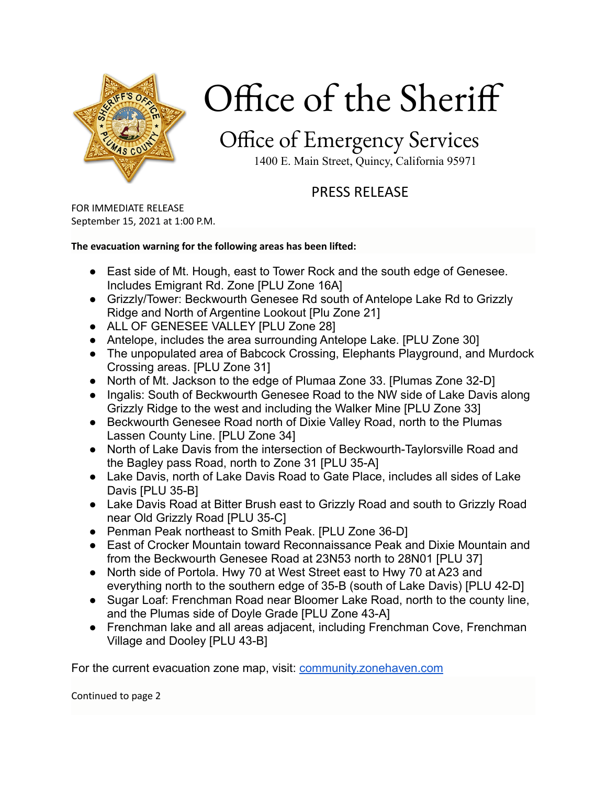

# Office of the Sheriff

## Office of Emergency Services

1400 E. Main Street, Quincy, California 95971

### PRESS RELEASE

FOR IMMEDIATE RELEASE September 15, 2021 at 1:00 P.M.

#### **The evacuation warning for the following areas has been lifted:**

- East side of Mt. Hough, east to Tower Rock and the south edge of Genesee. Includes Emigrant Rd. Zone [PLU Zone 16A]
- Grizzly/Tower: Beckwourth Genesee Rd south of Antelope Lake Rd to Grizzly Ridge and North of Argentine Lookout [Plu Zone 21]
- ALL OF GENESEE VALLEY [PLU Zone 28]
- Antelope, includes the area surrounding Antelope Lake. [PLU Zone 30]
- The unpopulated area of Babcock Crossing, Elephants Playground, and Murdock Crossing areas. [PLU Zone 31]
- North of Mt. Jackson to the edge of Plumaa Zone 33. [Plumas Zone 32-D]
- Ingalis: South of Beckwourth Genesee Road to the NW side of Lake Davis along Grizzly Ridge to the west and including the Walker Mine [PLU Zone 33]
- Beckwourth Genesee Road north of Dixie Valley Road, north to the Plumas Lassen County Line. [PLU Zone 34]
- North of Lake Davis from the intersection of Beckwourth-Taylorsville Road and the Bagley pass Road, north to Zone 31 [PLU 35-A]
- Lake Davis, north of Lake Davis Road to Gate Place, includes all sides of Lake Davis [PLU 35-B]
- Lake Davis Road at Bitter Brush east to Grizzly Road and south to Grizzly Road near Old Grizzly Road [PLU 35-C]
- Penman Peak northeast to Smith Peak. [PLU Zone 36-D]
- East of Crocker Mountain toward Reconnaissance Peak and Dixie Mountain and from the Beckwourth Genesee Road at 23N53 north to 28N01 [PLU 37]
- North side of Portola. Hwy 70 at West Street east to Hwy 70 at A23 and everything north to the southern edge of 35-B (south of Lake Davis) [PLU 42-D]
- Sugar Loaf: Frenchman Road near Bloomer Lake Road, north to the county line, and the Plumas side of Doyle Grade [PLU Zone 43-A]
- Frenchman lake and all areas adjacent, including Frenchman Cove, Frenchman Village and Dooley [PLU 43-B]

For the current evacuation zone map, visit: [community.zonehaven.com](http://community.zonehaven.com)

Continued to page 2